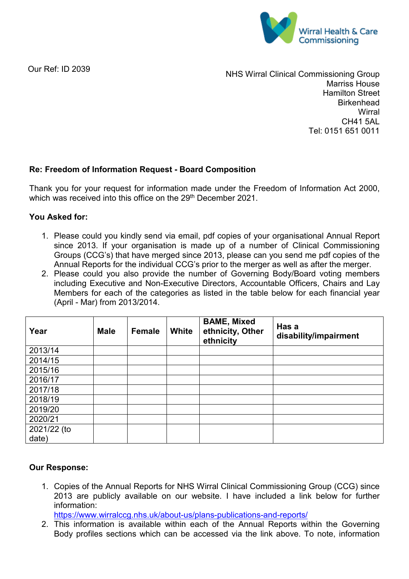

Our Ref: ID 2039

NHS Wirral Clinical Commissioning Group Marriss House Hamilton Street **Birkenhead Wirral** CH41 5AL Tel: 0151 651 0011

## **Re: Freedom of Information Request - Board Composition**

Thank you for your request for information made under the Freedom of Information Act 2000, which was received into this office on the 29<sup>th</sup> December 2021.

## **You Asked for:**

- 1. Please could you kindly send via email, pdf copies of your organisational Annual Report since 2013. If your organisation is made up of a number of Clinical Commissioning Groups (CCG's) that have merged since 2013, please can you send me pdf copies of the Annual Reports for the individual CCG's prior to the merger as well as after the merger.
- 2. Please could you also provide the number of Governing Body/Board voting members including Executive and Non-Executive Directors, Accountable Officers, Chairs and Lay Members for each of the categories as listed in the table below for each financial year (April - Mar) from 2013/2014.

| Year        | <b>Male</b> | <b>Female</b> | White | <b>BAME, Mixed</b><br>ethnicity, Other<br>ethnicity | Has a<br>disability/impairment |
|-------------|-------------|---------------|-------|-----------------------------------------------------|--------------------------------|
| 2013/14     |             |               |       |                                                     |                                |
| 2014/15     |             |               |       |                                                     |                                |
| 2015/16     |             |               |       |                                                     |                                |
| 2016/17     |             |               |       |                                                     |                                |
| 2017/18     |             |               |       |                                                     |                                |
| 2018/19     |             |               |       |                                                     |                                |
| 2019/20     |             |               |       |                                                     |                                |
| 2020/21     |             |               |       |                                                     |                                |
| 2021/22 (to |             |               |       |                                                     |                                |
| date)       |             |               |       |                                                     |                                |

## **Our Response:**

1. Copies of the Annual Reports for NHS Wirral Clinical Commissioning Group (CCG) since 2013 are publicly available on our website. I have included a link below for further information:

<https://www.wirralccg.nhs.uk/about-us/plans-publications-and-reports/>

2. This information is available within each of the Annual Reports within the Governing Body profiles sections which can be accessed via the link above. To note, information